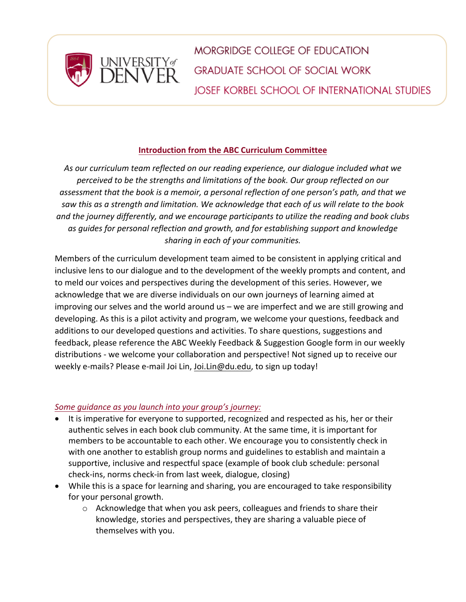

**MORGRIDGE COLLEGE OF EDUCATION GRADUATE SCHOOL OF SOCIAL WORK JOSEF KORBEL SCHOOL OF INTERNATIONAL STUDIES** 

## **Introduction from the ABC Curriculum Committee**

*As our curriculum team reflected on our reading experience, our dialogue included what we perceived to be the strengths and limitations of the book. Our group reflected on our assessment that the book is a memoir, a personal reflection of one person's path, and that we saw this as a strength and limitation. We acknowledge that each of us will relate to the book and the journey differently, and we encourage participants to utilize the reading and book clubs as guides for personal reflection and growth, and for establishing support and knowledge sharing in each of your communities.*

Members of the curriculum development team aimed to be consistent in applying critical and inclusive lens to our dialogue and to the development of the weekly prompts and content, and to meld our voices and perspectives during the development of this series. However, we acknowledge that we are diverse individuals on our own journeys of learning aimed at improving our selves and the world around us – we are imperfect and we are still growing and developing. As this is a pilot activity and program, we welcome your questions, feedback and additions to our developed questions and activities. To share questions, suggestions and feedback, please reference the ABC Weekly Feedback & Suggestion Google form in our weekly distributions - we welcome your collaboration and perspective! Not signed up to receive our weekly e-mails? Please e-mail Joi Lin, Joi.Lin@du.edu, to sign up today!

## *Some guidance as you launch into your group's journey:*

- It is imperative for everyone to supported, recognized and respected as his, her or their authentic selves in each book club community. At the same time, it is important for members to be accountable to each other. We encourage you to consistently check in with one another to establish group norms and guidelines to establish and maintain a supportive, inclusive and respectful space (example of book club schedule: personal check-ins, norms check-in from last week, dialogue, closing)
- While this is a space for learning and sharing, you are encouraged to take responsibility for your personal growth.
	- o Acknowledge that when you ask peers, colleagues and friends to share their knowledge, stories and perspectives, they are sharing a valuable piece of themselves with you.